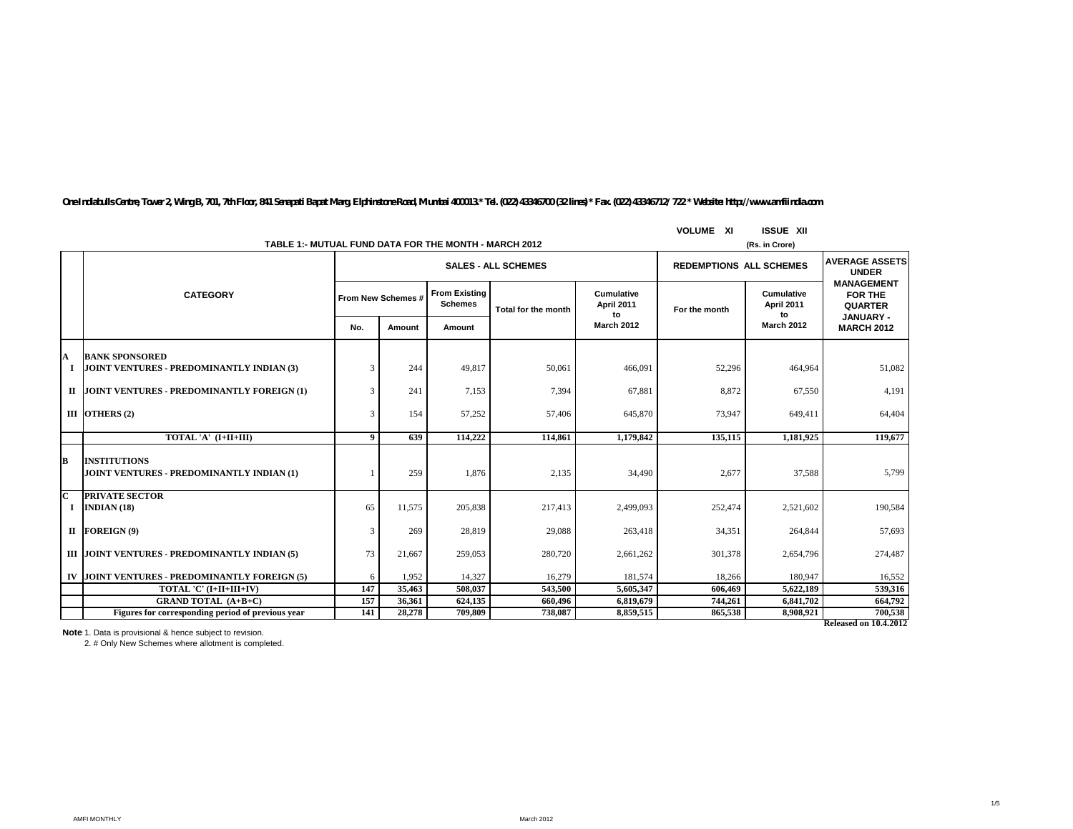|    | TABLE 1:- MUTUAL FUND DATA FOR THE MONTH - MARCH 2012              |                  |                            |                                        |                     | (Rs. in Crore)                 |               |                                       |                                                                          |
|----|--------------------------------------------------------------------|------------------|----------------------------|----------------------------------------|---------------------|--------------------------------|---------------|---------------------------------------|--------------------------------------------------------------------------|
|    |                                                                    |                  | <b>SALES - ALL SCHEMES</b> |                                        |                     |                                |               | <b>REDEMPTIONS ALL SCHEMES</b>        | <b>AVERAGE ASSETS</b><br><b>UNDER</b>                                    |
|    | <b>CATEGORY</b>                                                    |                  | From New Schemes #         | <b>From Existing</b><br><b>Schemes</b> | Total for the month | Cumulative<br>April 2011<br>to | For the month | Cumulative<br><b>April 2011</b><br>to | <b>MANAGEMENT</b><br><b>FOR THE</b><br><b>QUARTER</b><br><b>JANUARY-</b> |
|    |                                                                    | No.              | Amount                     | Amount                                 |                     | <b>March 2012</b>              |               | <b>March 2012</b>                     | <b>MARCH 2012</b>                                                        |
| A  | <b>BANK SPONSORED</b><br>JOINT VENTURES - PREDOMINANTLY INDIAN (3) | 3                | 244                        | 49,817                                 | 50,061              | 466,091                        | 52,296        | 464,964                               | 51,082                                                                   |
|    | II JOINT VENTURES - PREDOMINANTLY FOREIGN (1)                      | 3                | 241                        | 7,153                                  | 7,394               | 67,881                         | 8,872         | 67.550                                | 4,191                                                                    |
|    | III OTHERS $(2)$                                                   | 3                | 154                        | 57,252                                 | 57,406              | 645,870                        | 73,947        | 649,411                               | 64,404                                                                   |
|    | TOTAL 'A' (I+II+III)                                               | $\boldsymbol{9}$ | 639                        | 114,222                                | 114,861             | 1.179.842                      | 135,115       | 1.181.925                             | 119,677                                                                  |
| lв | <b>INSTITUTIONS</b><br>JOINT VENTURES - PREDOMINANTLY INDIAN (1)   |                  | 259                        | 1.876                                  | 2,135               | 34,490                         | 2,677         | 37.588                                | 5,799                                                                    |
| Іс | <b>PRIVATE SECTOR</b><br>INDIAN $(18)$                             | 65               | 11,575                     | 205,838                                | 217,413             | 2,499,093                      | 252,474       | 2,521,602                             | 190,584                                                                  |
|    | II FOREIGN(9)                                                      | 3                | 269                        | 28,819                                 | 29,088              | 263,418                        | 34,351        | 264,844                               | 57,693                                                                   |
|    | III JOINT VENTURES - PREDOMINANTLY INDIAN (5)                      | 73               | 21,667                     | 259,053                                | 280,720             | 2,661,262                      | 301,378       | 2,654,796                             | 274,487                                                                  |
|    | IV JOINT VENTURES - PREDOMINANTLY FOREIGN (5)                      | 6                | 1,952                      | 14,327                                 | 16,279              | 181,574                        | 18,266        | 180,947                               | 16,552                                                                   |
|    | TOTAL 'C' (I+II+III+IV)                                            | 147              | 35,463                     | 508,037                                | 543,500             | 5,605,347                      | 606,469       | 5,622,189                             | 539,316                                                                  |
|    | <b>GRAND TOTAL (A+B+C)</b>                                         | 157              | 36,361                     | 624,135                                | 660,496             | 6,819,679                      | 744,261       | 6,841,702                             | 664,792                                                                  |
|    | Figures for corresponding period of previous year                  | 141              | 28,278                     | 709,809                                | 738,087             | 8,859,515                      | 865,538       | 8,908,921                             | 700,538                                                                  |
|    |                                                                    |                  |                            |                                        |                     |                                |               |                                       | <b>Released on 10.4.2012</b>                                             |

**VOLUME XI ISSUE XII**

*One Indiabulls Centre, Tower 2, Wing B, 701, 7th Floor, 841 Senapati Bapat Marg, Elphinstone Road, Mumbai 400013.\* Tel. (022) 43346700 (32 lines) \* Fax. (022) 43346712/ 722 \* Website: http://www.amfiindia.com*

**Note**: 1. Data is provisional & hence subject to revision.<br>2. # Only New Schemes where allotment is completed.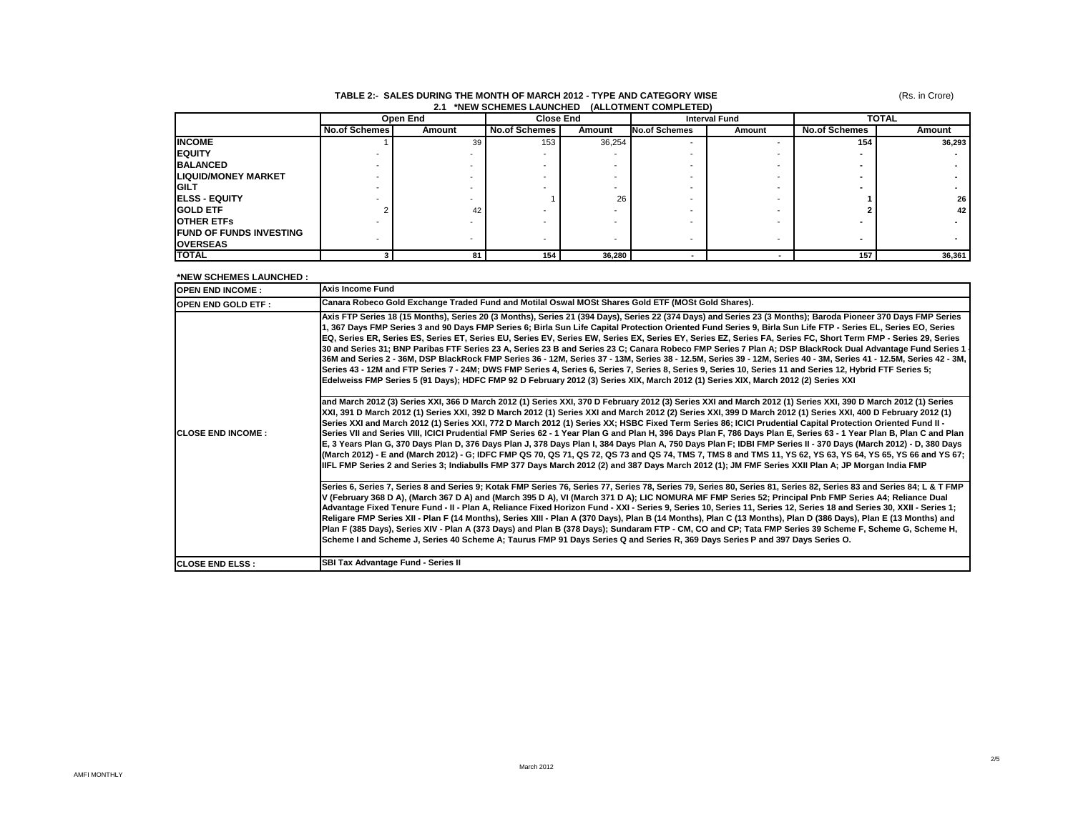| 2.1 *NEW SCHEMES LAUNCHED (ALLOTMENT COMPLETED) |                      |          |                      |        |               |                      |                      |              |  |
|-------------------------------------------------|----------------------|----------|----------------------|--------|---------------|----------------------|----------------------|--------------|--|
|                                                 |                      | Open End | <b>Close End</b>     |        |               | <b>Interval Fund</b> |                      | <b>TOTAL</b> |  |
|                                                 | <b>No.of Schemes</b> | Amount   | <b>No.of Schemes</b> | Amount | No.of Schemes | Amount               | <b>No.of Schemes</b> | Amount       |  |
| <b>INCOME</b>                                   |                      | 39       | 153                  | 36,254 |               |                      | 154                  | 36,293       |  |
| <b>IEQUITY</b>                                  |                      |          |                      |        |               |                      |                      |              |  |
| <b>BALANCED</b>                                 |                      |          |                      |        |               |                      |                      |              |  |
| <b>LIQUID/MONEY MARKET</b>                      |                      |          |                      |        |               |                      |                      |              |  |
| <b>GILT</b>                                     |                      |          |                      |        |               |                      |                      |              |  |
| <b>IELSS - EQUITY</b>                           |                      |          |                      | 26     |               |                      |                      | 26           |  |
| <b>GOLD ETF</b>                                 |                      | 42       |                      |        |               |                      |                      | 42           |  |
| <b>OTHER ETFS</b>                               |                      |          |                      |        |               |                      |                      |              |  |
| <b>IFUND OF FUNDS INVESTING</b>                 |                      |          |                      |        |               |                      |                      |              |  |
| <b>IOVERSEAS</b>                                |                      |          |                      |        |               |                      |                      |              |  |
| <b>TOTAL</b>                                    |                      | 81       | 154                  | 36,280 |               |                      | 157                  | 36,361       |  |

# **TABLE 2:- SALES DURING THE MONTH OF MARCH 2012 - TYPE AND CATEGORY WISE**

**\*NEW SCHEMES LAUNCHED :** 

| <b>OPEN END INCOME:</b>   | <b>Axis Income Fund</b>                                                                                                                                                                                                                                                                                                                                                                                                                                                                                                                                                                                                                                                                                                                                                                                                                                                                                                                                                                                                                                                                                                                                                                                                                                                                                                                                                                                                                                                                                                                                                                                                                                                                                                                                                                                                                                                                                                                                                                                                                                                                                                                               |
|---------------------------|-------------------------------------------------------------------------------------------------------------------------------------------------------------------------------------------------------------------------------------------------------------------------------------------------------------------------------------------------------------------------------------------------------------------------------------------------------------------------------------------------------------------------------------------------------------------------------------------------------------------------------------------------------------------------------------------------------------------------------------------------------------------------------------------------------------------------------------------------------------------------------------------------------------------------------------------------------------------------------------------------------------------------------------------------------------------------------------------------------------------------------------------------------------------------------------------------------------------------------------------------------------------------------------------------------------------------------------------------------------------------------------------------------------------------------------------------------------------------------------------------------------------------------------------------------------------------------------------------------------------------------------------------------------------------------------------------------------------------------------------------------------------------------------------------------------------------------------------------------------------------------------------------------------------------------------------------------------------------------------------------------------------------------------------------------------------------------------------------------------------------------------------------------|
| <b>OPEN END GOLD ETF:</b> | Canara Robeco Gold Exchange Traded Fund and Motilal Oswal MOSt Shares Gold ETF (MOSt Gold Shares).                                                                                                                                                                                                                                                                                                                                                                                                                                                                                                                                                                                                                                                                                                                                                                                                                                                                                                                                                                                                                                                                                                                                                                                                                                                                                                                                                                                                                                                                                                                                                                                                                                                                                                                                                                                                                                                                                                                                                                                                                                                    |
| <b>ICLOSE END INCOME:</b> | Axis FTP Series 18 (15 Months), Series 20 (3 Months), Series 21 (394 Days), Series 22 (374 Days) and Series 23 (3 Months); Baroda Pioneer 370 Days FMP Series<br>1, 367 Days FMP Series 3 and 90 Days FMP Series 6; Birla Sun Life Capital Protection Oriented Fund Series 9, Birla Sun Life FTP - Series EL, Series EO, Series<br>EQ, Series ER, Series ES, Series ET, Series EU, Series EV, Series EW, Series EX, Series EY, Series EZ, Series FA, Series FC, Short Term FMP - Series 29, Series<br>30 and Series 31; BNP Paribas FTF Series 23 A, Series 23 B and Series 23 C; Canara Robeco FMP Series 7 Plan A; DSP BlackRock Dual Advantage Fund Series 1<br>36M and Series 2 - 36M, DSP BlackRock FMP Series 36 - 12M, Series 37 - 13M, Series 38 - 12.5M, Series 39 - 12M, Series 40 - 3M, Series 41 - 12.5M, Series 42 - 3M,<br>Series 43 - 12M and FTP Series 7 - 24M; DWS FMP Series 4, Series 6, Series 7, Series 8, Series 9, Series 10, Series 11 and Series 12, Hybrid FTF Series 5;<br>Edelweiss FMP Series 5 (91 Days); HDFC FMP 92 D February 2012 (3) Series XIX, March 2012 (1) Series XIX, March 2012 (2) Series XXI<br>and March 2012 (3) Series XXI, 366 D March 2012 (1) Series XXI, 370 D February 2012 (3) Series XXI and March 2012 (1) Series XXI, 390 D March 2012 (1) Series<br>XXI, 391 D March 2012 (1) Series XXI, 392 D March 2012 (1) Series XXI and March 2012 (2) Series XXI, 399 D March 2012 (1) Series XXI, 400 D February 2012 (1)<br>-  Series XXI and March 2012 (1) Series XXI, 772 D March 2012 (1) Series XX; HSBC Fixed Term Series 86; ICICI Prudential Capital Protection Oriented Fund II<br>Series VII and Series VIII, ICICI Prudential FMP Series 62 - 1 Year Plan G and Plan H, 396 Days Plan F, 786 Days Plan E, Series 63 - 1 Year Plan B, Plan C and Plan<br>E, 3 Years Plan G, 370 Days Plan D, 376 Days Plan J, 378 Days Plan I, 384 Days Plan A, 750 Days Plan F; IDBI FMP Series II - 370 Days (March 2012) - D, 380 Days<br>(March 2012) - E and (March 2012) - G; IDFC FMP QS 70, QS 71, QS 72, QS 73 and QS 74, TMS 7, TMS 8 and TMS 11, YS 62, YS 63, YS 64, YS 65, YS 66 and YS 67; |
|                           | IIIFL FMP Series 2 and Series 3; Indiabulls FMP 377 Days March 2012 (2) and 387 Days March 2012 (1); JM FMF Series XXII Plan A; JP Morgan India FMP<br>Series 6, Series 7, Series 8 and Series 9; Kotak FMP Series 76, Series 77, Series 78, Series 79, Series 80, Series 81, Series 82, Series 83 and Series 84; L & T FMP<br>V (February 368 D A), (March 367 D A) and (March 395 D A), VI (March 371 D A); LIC NOMURA MF FMP Series 52; Principal Pnb FMP Series A4; Reliance Dual<br>Advantage Fixed Tenure Fund - II - Plan A, Reliance Fixed Horizon Fund - XXI - Series 9, Series 10, Series 11, Series 12, Series 18 and Series 30, XXII - Series 1;<br>Religare FMP Series XII - Plan F (14 Months), Series XIII - Plan A (370 Days), Plan B (14 Months), Plan C (13 Months), Plan D (386 Days), Plan E (13 Months) and<br>Plan F (385 Days), Series XIV - Plan A (373 Days) and Plan B (378 Days); Sundaram FTP - CM, CO and CP; Tata FMP Series 39 Scheme F, Scheme G, Scheme H,<br>Scheme I and Scheme J, Series 40 Scheme A; Taurus FMP 91 Days Series Q and Series R, 369 Days Series P and 397 Days Series O.                                                                                                                                                                                                                                                                                                                                                                                                                                                                                                                                                                                                                                                                                                                                                                                                                                                                                                                                                                                                                          |
| <b>ICLOSE END ELSS:</b>   | SBI Tax Advantage Fund - Series II                                                                                                                                                                                                                                                                                                                                                                                                                                                                                                                                                                                                                                                                                                                                                                                                                                                                                                                                                                                                                                                                                                                                                                                                                                                                                                                                                                                                                                                                                                                                                                                                                                                                                                                                                                                                                                                                                                                                                                                                                                                                                                                    |

(Rs. in Crore)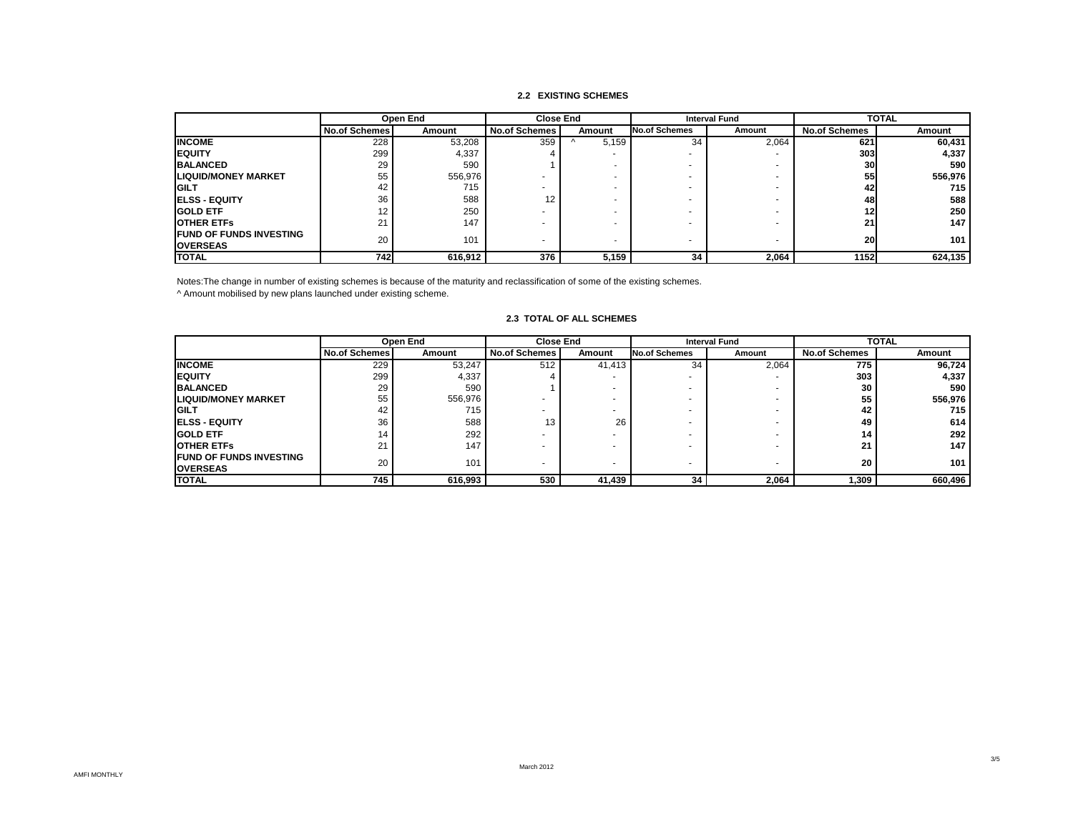### **2.2 EXISTING SCHEMES**

|                                | Open End             |               |                      | <b>Close End</b>         | <b>Interval Fund</b>     |        | <b>TOTAL</b>         |         |
|--------------------------------|----------------------|---------------|----------------------|--------------------------|--------------------------|--------|----------------------|---------|
|                                | <b>No.of Schemes</b> | <b>Amount</b> | <b>No.of Schemes</b> | Amount                   | No.of Schemes            | Amount | <b>No.of Schemes</b> | Amount  |
| <b>INCOME</b>                  | 228                  | 53,208        | 359                  | 5.159                    | 34                       | 2,064  | 621                  | 60,431  |
| <b>IEQUITY</b>                 | 299                  | 4,337         |                      | $\overline{\phantom{a}}$ |                          |        | 303                  | 4,337   |
| <b>BALANCED</b>                | 29                   | 590           |                      |                          |                          |        | 30                   | 590     |
| <b>LIQUID/MONEY MARKET</b>     | 55                   | 556,976       |                      |                          |                          |        | 55                   | 556,976 |
| <b>IGILT</b>                   | 42                   | 715           |                      |                          |                          |        | 42                   | 715     |
| <b>IELSS - EQUITY</b>          | 36                   | 588           | 12                   |                          |                          |        | 48                   | 588     |
| <b>IGOLD ETF</b>               | 12                   | 250           |                      |                          |                          |        | 12                   | 250     |
| <b>OTHER ETFS</b>              | 21                   | 147           |                      |                          |                          |        | 21                   | 147     |
| <b>FUND OF FUNDS INVESTING</b> | 20                   | 101           |                      |                          |                          |        |                      |         |
| <b>OVERSEAS</b>                |                      |               |                      | $\overline{\phantom{0}}$ | $\overline{\phantom{a}}$ |        | 20                   | 101     |
| <b>TOTAL</b>                   | 742                  | 616,912       | 376                  | 5,159                    | 34                       | 2,064  | 1152                 | 624,135 |

Notes:The change in number of existing schemes is because of the maturity and reclassification of some of the existing schemes.

^ Amount mobilised by new plans launched under existing scheme.

|                                                    |                      | Open End | <b>Close End</b>     |        | <b>Interval Fund</b> |        | <b>TOTAL</b>         |         |
|----------------------------------------------------|----------------------|----------|----------------------|--------|----------------------|--------|----------------------|---------|
|                                                    | <b>No.of Schemes</b> | Amount   | <b>No.of Schemes</b> | Amount | No.of Schemes        | Amount | <b>No.of Schemes</b> | Amount  |
| <b>INCOME</b>                                      | 229                  | 53,247   | 512                  | 41,413 | 34                   | 2,064  | 775                  | 96,724  |
| <b>IEQUITY</b>                                     | 299                  | 4,337    |                      |        |                      |        | 303                  | 4,337   |
| <b>BALANCED</b>                                    | 29                   | 590      |                      |        |                      |        | 30                   | 590     |
| <b>LIQUID/MONEY MARKET</b>                         | 55                   | 556,976  |                      |        |                      |        | 55                   | 556,976 |
| <b>IGILT</b>                                       | 42                   | 715      |                      |        |                      |        | 42                   | 715     |
| <b>IELSS - EQUITY</b>                              | 36                   | 588      | 13                   | 26     |                      | -      | 49                   | 614     |
| <b>GOLD ETF</b>                                    | 14                   | 292      |                      |        |                      |        | 14                   | 292     |
| <b>OTHER ETFS</b>                                  | 21                   | 147      |                      |        |                      |        | 21                   | 147     |
| <b>IFUND OF FUNDS INVESTING</b><br><b>OVERSEAS</b> | 20                   | 101      |                      |        |                      |        | 20                   | 101     |
| <b>TOTAL</b>                                       | 745                  | 616,993  | 530                  | 41,439 | 34                   | 2,064  | 1,309                | 660,496 |

#### **2.3 TOTAL OF ALL SCHEMES**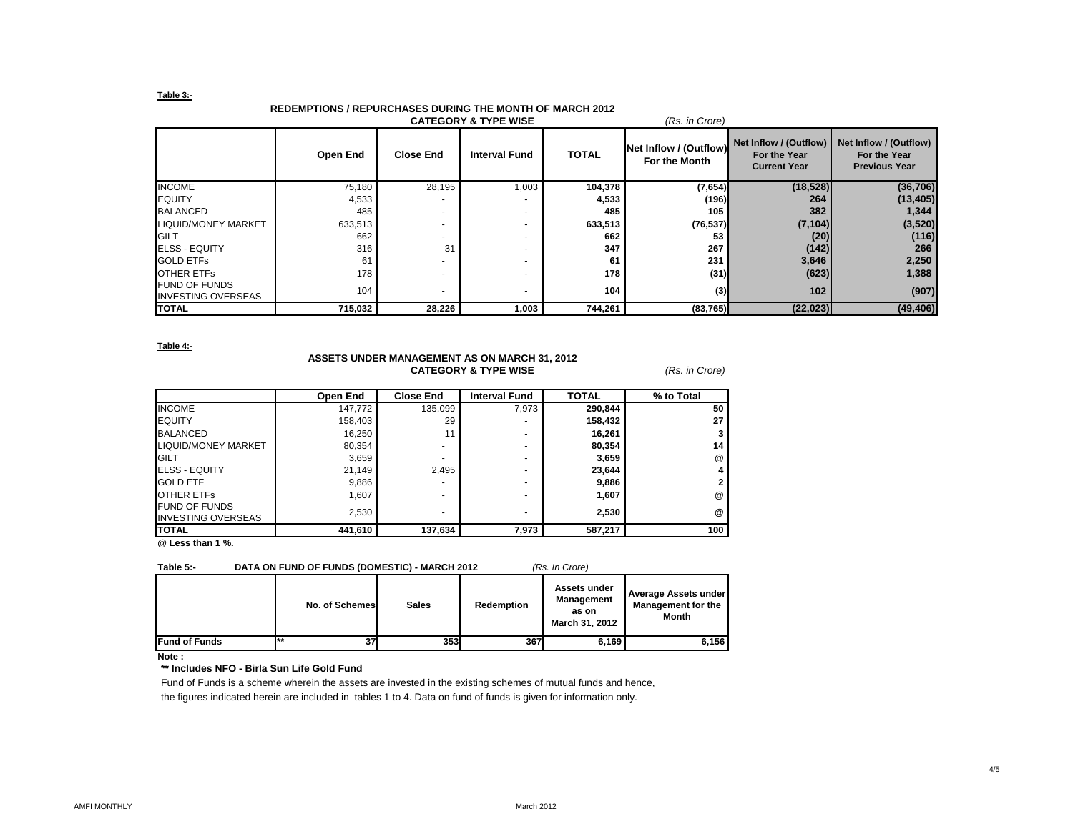#### **Table 3:-**

### **REDEMPTIONS / REPURCHASES DURING THE MONTH OF MARCH 2012**

|                                                   |          |                          | <b>CATEGORY &amp; TYPE WISE</b> |              | (Rs. in Crore)                          |                                                               |                                                                |
|---------------------------------------------------|----------|--------------------------|---------------------------------|--------------|-----------------------------------------|---------------------------------------------------------------|----------------------------------------------------------------|
|                                                   | Open End | <b>Close End</b>         | <b>Interval Fund</b>            | <b>TOTAL</b> | Net Inflow / (Outflow)<br>For the Month | Net Inflow / (Outflow)<br>For the Year<br><b>Current Year</b> | Net Inflow / (Outflow)<br>For the Year<br><b>Previous Year</b> |
| <b>INCOME</b>                                     | 75,180   | 28,195                   | 1,003                           | 104,378      | (7,654)                                 | (18, 528)                                                     | (36, 706)                                                      |
| <b>IEQUITY</b>                                    | 4,533    |                          |                                 | 4,533        | (196)                                   | 264                                                           | (13, 405)                                                      |
| <b>BALANCED</b>                                   | 485      |                          | ۰                               | 485          | 105                                     | 382                                                           | 1,344                                                          |
| LIQUID/MONEY MARKET                               | 633,513  | $\overline{\phantom{a}}$ | ۰                               | 633,513      | (76, 537)                               | (7, 104)                                                      | (3,520)                                                        |
| GILT                                              | 662      |                          | ۰                               | 662          | 53                                      | (20)                                                          | (116)                                                          |
| <b>ELSS - EQUITY</b>                              | 316      | 31                       | $\overline{\phantom{0}}$        | 347          | 267                                     | (142)                                                         | 266                                                            |
| <b>GOLD ETFS</b>                                  | 61       |                          |                                 | 61           | 231                                     | 3,646                                                         | 2,250                                                          |
| <b>OTHER ETFS</b>                                 | 178      |                          |                                 | 178          | (31)                                    | (623)                                                         | 1,388                                                          |
| <b>FUND OF FUNDS</b><br><b>INVESTING OVERSEAS</b> | 104      |                          |                                 | 104          | (3)                                     | 102                                                           | (907)                                                          |
| <b>TOTAL</b>                                      | 715,032  | 28,226                   | 1,003                           | 744,261      | (83, 765)                               | (22, 023)                                                     | (49, 406)                                                      |

#### **Table 4:-**

#### **ASSETS UNDER MANAGEMENT AS ON MARCH 31, 2012 CATEGORY & TYPE WISE** *(Rs. in Crore)*

|                                                   | Open End | <b>Close End</b> | <b>Interval Fund</b> | <b>TOTAL</b> | % to Total           |
|---------------------------------------------------|----------|------------------|----------------------|--------------|----------------------|
| <b>INCOME</b>                                     | 147,772  | 135,099          | 7,973                | 290,844      | 50                   |
| <b>EQUITY</b>                                     | 158,403  | 29               | -                    | 158,432      | 27                   |
| <b>BALANCED</b>                                   | 16,250   | 11               | -                    | 16,261       |                      |
| LIQUID/MONEY MARKET                               | 80,354   | ۰                | -                    | 80,354       | 14                   |
| <b>GILT</b>                                       | 3,659    |                  | -                    | 3,659        | $^{\textregistered}$ |
| <b>ELSS - EQUITY</b>                              | 21,149   | 2.495            | -                    | 23,644       |                      |
| <b>GOLD ETF</b>                                   | 9,886    |                  | -                    | 9,886        |                      |
| <b>OTHER ETFS</b>                                 | 1,607    |                  | -                    | 1,607        | $^{\textregistered}$ |
| <b>FUND OF FUNDS</b><br><b>INVESTING OVERSEAS</b> | 2.530    | -                | -                    | 2.530        | $^{\textregistered}$ |
| <b>TOTAL</b>                                      | 441,610  | 137,634          | 7,973                | 587,217      | 100                  |

**@ Less than 1 %.**

#### **Table 5:- DATA ON FUND OF FUNDS (DOMESTIC) - MARCH 2012** *(Rs. In Crore)*

|                      | No. of Schemes | <b>Sales</b> | Redemption | Assets under<br>Management<br>as on<br>March 31, 2012 | Average Assets under<br><b>Management for the</b><br><b>Month</b> |
|----------------------|----------------|--------------|------------|-------------------------------------------------------|-------------------------------------------------------------------|
| <b>Fund of Funds</b> | $***$<br>37    | 353          | 367        | 6.169                                                 | 6,156                                                             |

**Note :**

#### **\*\* Includes NFO - Birla Sun Life Gold Fund**

Fund of Funds is a scheme wherein the assets are invested in the existing schemes of mutual funds and hence, the figures indicated herein are included in tables 1 to 4. Data on fund of funds is given for information only.